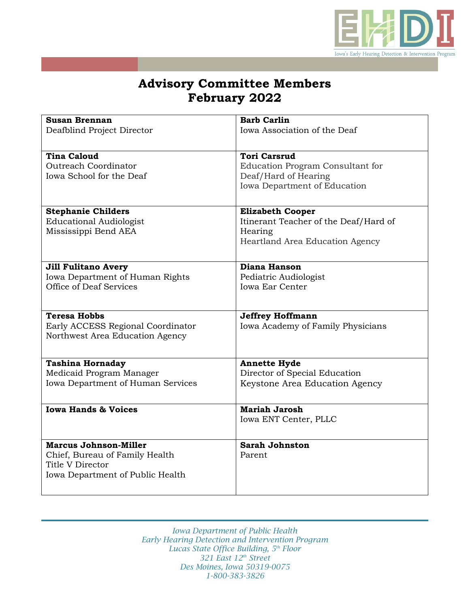

## **Advisory Committee Members February 2022**

| <b>Susan Brennan</b>              | <b>Barb Carlin</b>                    |
|-----------------------------------|---------------------------------------|
| Deafblind Project Director        | Iowa Association of the Deaf          |
|                                   |                                       |
| <b>Tina Caloud</b>                | <b>Tori Carsrud</b>                   |
| Outreach Coordinator              | Education Program Consultant for      |
| Iowa School for the Deaf          | Deaf/Hard of Hearing                  |
|                                   | Iowa Department of Education          |
|                                   |                                       |
|                                   |                                       |
| <b>Stephanie Childers</b>         | <b>Elizabeth Cooper</b>               |
| <b>Educational Audiologist</b>    | Itinerant Teacher of the Deaf/Hard of |
| Mississippi Bend AEA              | Hearing                               |
|                                   | Heartland Area Education Agency       |
|                                   |                                       |
| <b>Jill Fulitano Avery</b>        | Diana Hanson                          |
| Iowa Department of Human Rights   | Pediatric Audiologist                 |
| Office of Deaf Services           | <b>Iowa Ear Center</b>                |
|                                   |                                       |
|                                   |                                       |
| <b>Teresa Hobbs</b>               | <b>Jeffrey Hoffmann</b>               |
| Early ACCESS Regional Coordinator | Iowa Academy of Family Physicians     |
| Northwest Area Education Agency   |                                       |
|                                   |                                       |
| <b>Tashina Hornaday</b>           | <b>Annette Hyde</b>                   |
| Medicaid Program Manager          | Director of Special Education         |
| Iowa Department of Human Services | Keystone Area Education Agency        |
|                                   |                                       |
| <b>Iowa Hands &amp; Voices</b>    | <b>Mariah Jarosh</b>                  |
|                                   | Iowa ENT Center, PLLC                 |
|                                   |                                       |
| <b>Marcus Johnson-Miller</b>      | <b>Sarah Johnston</b>                 |
| Chief, Bureau of Family Health    | Parent                                |
| Title V Director                  |                                       |
| Iowa Department of Public Health  |                                       |
|                                   |                                       |
|                                   |                                       |

*Iowa Department of Public Health Early Hearing Detection and Intervention Program Lucas State Office Building, 5th Floor 321 East 12th Street Des Moines, Iowa 50319-0075 1-800-383-3826*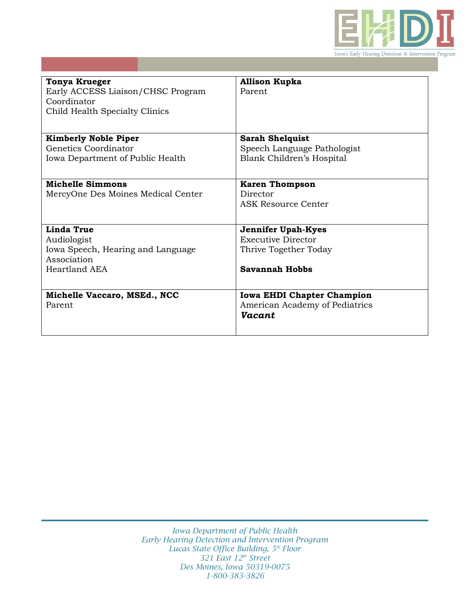

| <b>Tonya Krueger</b>               | <b>Allison Kupka</b>              |
|------------------------------------|-----------------------------------|
| Early ACCESS Liaison/CHSC Program  | Parent                            |
| Coordinator                        |                                   |
| Child Health Specialty Clinics     |                                   |
|                                    |                                   |
|                                    |                                   |
| <b>Kimberly Noble Piper</b>        | <b>Sarah Shelquist</b>            |
| Genetics Coordinator               | Speech Language Pathologist       |
| Iowa Department of Public Health   | Blank Children's Hospital         |
|                                    |                                   |
|                                    |                                   |
| <b>Michelle Simmons</b>            | <b>Karen Thompson</b>             |
| MercyOne Des Moines Medical Center | Director                          |
|                                    | <b>ASK Resource Center</b>        |
|                                    |                                   |
| Linda True                         | <b>Jennifer Upah-Kyes</b>         |
| Audiologist                        | Executive Director                |
| Iowa Speech, Hearing and Language  | Thrive Together Today             |
| Association                        |                                   |
| Heartland AEA                      | Savannah Hobbs                    |
|                                    |                                   |
|                                    |                                   |
| Michelle Vaccaro, MSEd., NCC       | <b>Iowa EHDI Chapter Champion</b> |
| Parent                             | American Academy of Pediatrics    |
|                                    | <b>Vacant</b>                     |
|                                    |                                   |
|                                    |                                   |

*Iowa Department of Public Health Early Hearing Detection and Intervention Program Lucas State Office Building, 5th Floor 321 East 12th Street Des Moines, Iowa 50319-0075 1-800-383-3826*